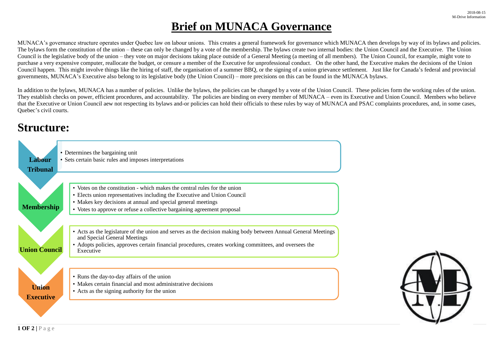## **Brief on MUNACA Governance**

MUNACA's governance structure operates under Quebec law on labour unions. This creates a general framework for governance which MUNACA then develops by way of its bylaws and policies. The bylaws form the constitution of the union – these can only be changed by a vote of the membership. The bylaws create two internal bodies: the Union Council and the Executive. The Union Council is the legislative body of the union – they vote on major decisions taking place outside of a General Meeting (a meeting of all members). The Union Council, for example, might vote to purchase a very expensive computer, reallocate the budget, or censure a member of the Executive for unprofessional conduct. On the other hand, the Executive makes the decisions of the Union Council happen. This might involve things like the hiring of staff, the organisation of a summer BBQ, or the signing of a union grievance settlement. Just like for Canada's federal and provincial governments, MUNACA's Executive also belong to its legislative body (the Union Council) – more precisions on this can be found in the MUNACA bylaws.

In addition to the bylaws, MUNACA has a number of policies. Unlike the bylaws, the policies can be changed by a vote of the Union Council. These policies form the working rules of the union. They establish checks on power, efficient procedures, and accountability. The policies are binding on every member of MUNACA – even its Executive and Union Council. Members who believe that the Executive or Union Council aew not respecting its bylaws and-or policies can hold their officials to these rules by way of MUNACA and PSAC complaints procedures, and, in some cases, Quebec's civil courts.

## **Structure:**